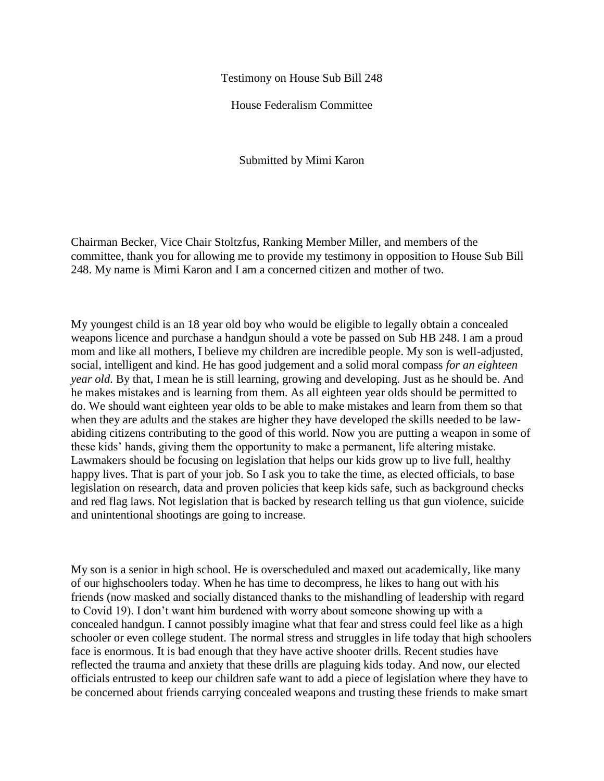Testimony on House Sub Bill 248

House Federalism Committee

Submitted by Mimi Karon

Chairman Becker, Vice Chair Stoltzfus, Ranking Member Miller, and members of the committee, thank you for allowing me to provide my testimony in opposition to House Sub Bill 248. My name is Mimi Karon and I am a concerned citizen and mother of two.

My youngest child is an 18 year old boy who would be eligible to legally obtain a concealed weapons licence and purchase a handgun should a vote be passed on Sub HB 248. I am a proud mom and like all mothers, I believe my children are incredible people. My son is well-adjusted, social, intelligent and kind. He has good judgement and a solid moral compass *for an eighteen year old*. By that, I mean he is still learning, growing and developing. Just as he should be. And he makes mistakes and is learning from them. As all eighteen year olds should be permitted to do. We should want eighteen year olds to be able to make mistakes and learn from them so that when they are adults and the stakes are higher they have developed the skills needed to be lawabiding citizens contributing to the good of this world. Now you are putting a weapon in some of these kids' hands, giving them the opportunity to make a permanent, life altering mistake. Lawmakers should be focusing on legislation that helps our kids grow up to live full, healthy happy lives. That is part of your job. So I ask you to take the time, as elected officials, to base legislation on research, data and proven policies that keep kids safe, such as background checks and red flag laws. Not legislation that is backed by research telling us that gun violence, suicide and unintentional shootings are going to increase.

My son is a senior in high school. He is overscheduled and maxed out academically, like many of our highschoolers today. When he has time to decompress, he likes to hang out with his friends (now masked and socially distanced thanks to the mishandling of leadership with regard to Covid 19). I don't want him burdened with worry about someone showing up with a concealed handgun. I cannot possibly imagine what that fear and stress could feel like as a high schooler or even college student. The normal stress and struggles in life today that high schoolers face is enormous. It is bad enough that they have active shooter drills. Recent studies have reflected the trauma and anxiety that these drills are plaguing kids today. And now, our elected officials entrusted to keep our children safe want to add a piece of legislation where they have to be concerned about friends carrying concealed weapons and trusting these friends to make smart